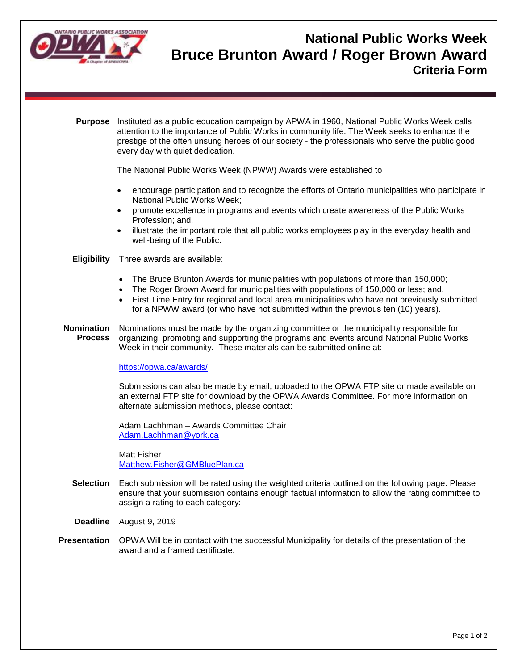

## **National Public Works Week Bruce Brunton Award / Roger Brown Award Criteria Form**

**Purpose** Instituted as a public education campaign by APWA in 1960, National Public Works Week calls attention to the importance of Public Works in community life. The Week seeks to enhance the prestige of the often unsung heroes of our society - the professionals who serve the public good every day with quiet dedication.

The National Public Works Week (NPWW) Awards were established to

- encourage participation and to recognize the efforts of Ontario municipalities who participate in National Public Works Week;
- promote excellence in programs and events which create awareness of the Public Works Profession; and,
- illustrate the important role that all public works employees play in the everyday health and well-being of the Public.

## **Eligibility** Three awards are available:

- The Bruce Brunton Awards for municipalities with populations of more than 150,000;
- The Roger Brown Award for municipalities with populations of 150,000 or less; and,
- First Time Entry for regional and local area municipalities who have not previously submitted for a NPWW award (or who have not submitted within the previous ten (10) years).
- **Nomination Process** Nominations must be made by the organizing committee or the municipality responsible for organizing, promoting and supporting the programs and events around National Public Works Week in their community. These materials can be submitted online at:

## <https://opwa.ca/awards/>

Submissions can also be made by email, uploaded to the OPWA FTP site or made available on an external FTP site for download by the OPWA Awards Committee. For more information on alternate submission methods, please contact:

Adam Lachhman – Awards Committee Chair [Adam.Lachhman@york.ca](mailto:Adam.Lachhman@york.ca)

Matt Fisher [Matthew.Fisher@GMBluePlan.ca](mailto:Matthew.Fisher@GMBluePlan.ca)

- **Selection** Each submission will be rated using the weighted criteria outlined on the following page. Please ensure that your submission contains enough factual information to allow the rating committee to assign a rating to each category:
- **Deadline** August 9, 2019
- **Presentation** OPWA Will be in contact with the successful Municipality for details of the presentation of the award and a framed certificate.